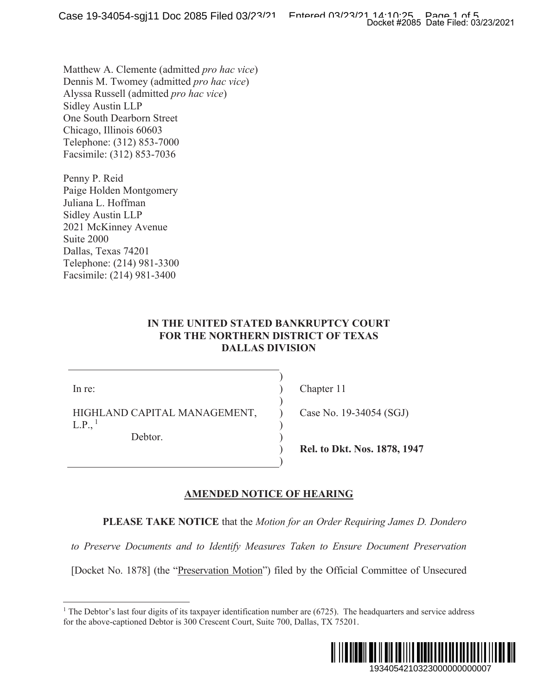Matthew A. Clemente (admitted *pro hac vice*) Dennis M. Twomey (admitted *pro hac vice*) Alyssa Russell (admitted *pro hac vice*) Sidley Austin LLP One South Dearborn Street Chicago, Illinois 60603 Telephone: (312) 853-7000 Facsimile: (312) 853-7036

Penny P. Reid Paige Holden Montgomery Juliana L. Hoffman Sidley Austin LLP 2021 McKinney Avenue Suite 2000 Dallas, Texas 74201 Telephone: (214) 981-3300 Facsimile: (214) 981-3400

### **IN THE UNITED STATED BANKRUPTCY COURT FOR THE NORTHERN DISTRICT OF TEXAS DALLAS DIVISION**

 $\mathcal{L}$  $\mathcal{L}$  $\mathcal{L}$  $\lambda$  $\overline{)}$  $\mathcal{L}$  $\mathcal{L}$  $\mathcal{L}$ 

In re:

HIGHLAND CAPITAL MANAGEMENT,  $L.P.,<sup>1</sup>$ 

Debtor.

Chapter 11

Case No. 19-34054 (SGJ)

**Rel. to Dkt. Nos. 1878, 1947** 

### **AMENDED NOTICE OF HEARING**

**PLEASE TAKE NOTICE** that the *Motion for an Order Requiring James D. Dondero* 

*to Preserve Documents and to Identify Measures Taken to Ensure Document Preservation*

[Docket No. 1878] (the "Preservation Motion") filed by the Official Committee of Unsecured

<sup>&</sup>lt;sup>1</sup> The Debtor's last four digits of its taxpayer identification number are  $(6725)$ . The headquarters and service address for the above-captioned Debtor is 300 Crescent Court, Suite 700, Dallas, TX 75201.

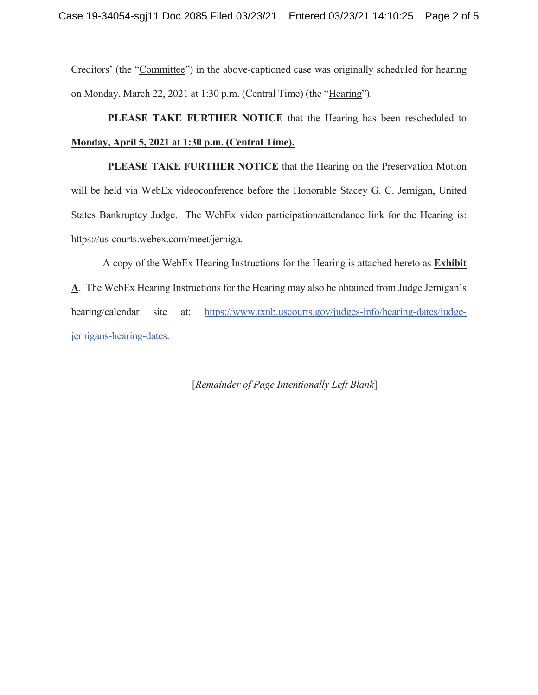Creditors' (the "Committee") in the above-captioned case was originally scheduled for hearing on Monday, March 22, 2021 at 1:30 p.m. (Central Time) (the "Hearing").

 **PLEASE TAKE FURTHER NOTICE** that the Hearing has been rescheduled to **Monday, April 5, 2021 at 1:30 p.m. (Central Time).**

 **PLEASE TAKE FURTHER NOTICE** that the Hearing on the Preservation Motion will be held via WebEx videoconference before the Honorable Stacey G. C. Jernigan, United States Bankruptcy Judge. The WebEx video participation/attendance link for the Hearing is: https://us-courts.webex.com/meet/jerniga.

A copy of the WebEx Hearing Instructions for the Hearing is attached hereto as **Exhibit A**. The WebEx Hearing Instructions for the Hearing may also be obtained from Judge Jernigan's hearing/calendar site at: https://www.txnb.uscourts.gov/judges-info/hearing-dates/judgejernigans-hearing-dates.

[*Remainder of Page Intentionally Left Blank*]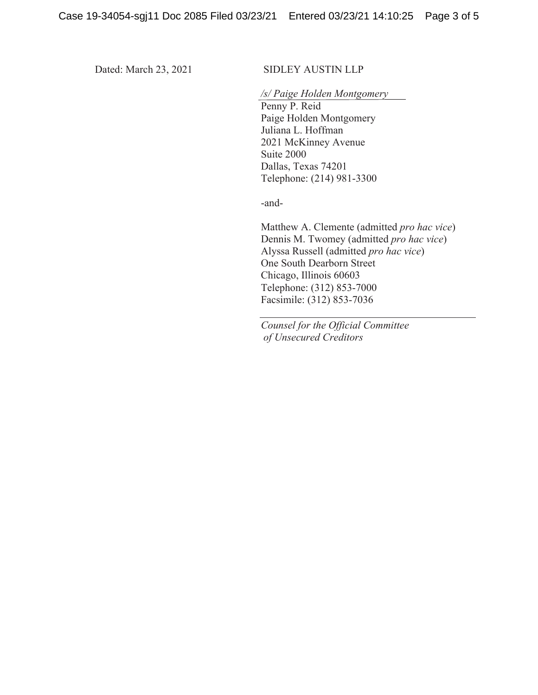### Dated: March 23, 2021 SIDLEY AUSTIN LLP

### */s/ Paige Holden Montgomery*

Penny P. Reid Paige Holden Montgomery Juliana L. Hoffman 2021 McKinney Avenue Suite 2000 Dallas, Texas 74201 Telephone: (214) 981-3300

-and-

Matthew A. Clemente (admitted *pro hac vice*) Dennis M. Twomey (admitted *pro hac vice*) Alyssa Russell (admitted *pro hac vice*) One South Dearborn Street Chicago, Illinois 60603 Telephone: (312) 853-7000 Facsimile: (312) 853-7036

*Counsel for the Official Committee of Unsecured Creditors*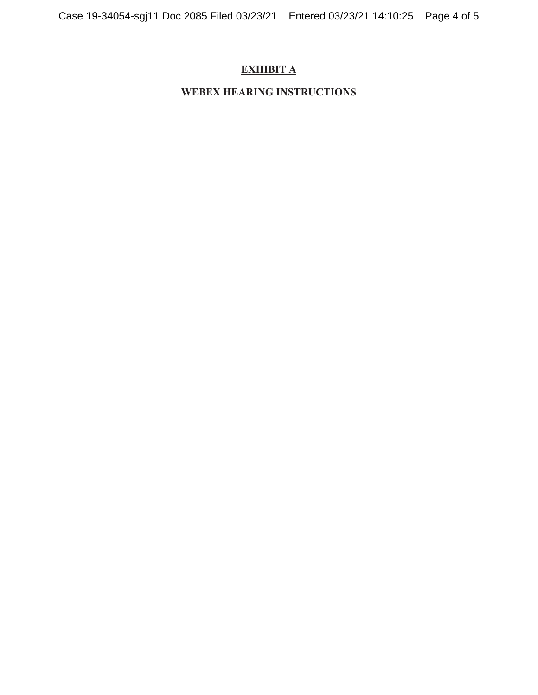# **EXHIBIT A**

### **WEBEX HEARING INSTRUCTIONS**